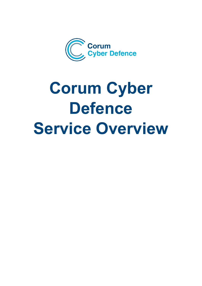

# **Corum Cyber Defence Service Overview**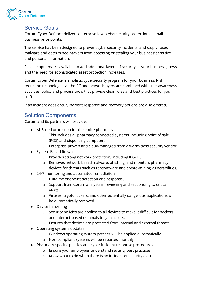

## Service Goals

Corum Cyber Defence delivers enterprise-level cybersecurity protection at small business price points.

The service has been designed to prevent cybersecurity incidents, and stop viruses, malware and determined hackers from accessing or stealing your business' sensitive and personal information.

Flexible options are available to add additional layers of security as your business grows and the need for sophisticated asset protection increases.

Corum Cyber Defence is a holistic cybersecurity program for your business. Risk reduction technologies at the PC and network layers are combined with user awareness activities, policy and process tools that provide clear rules and best practices for your staff.

If an incident does occur, incident response and recovery options are also offered.

## Solution Components

Corum and its partners will provide:

- AI-Based protection for the entire pharmacy
	- o This includes all pharmacy connected systems, including point of sale (POS) and dispensing computers.
	- o Enterprise proven and cloud-managed from a world-class security vendor
- System Based firewall
	- o Provides strong network protection, including IDS/IPS.
	- o Removes network-based malware, phishing, and monitors pharmacy devices for threats such as ransomware and crypto-mining vulnerabilities.
- 24/7 monitoring and automated remediation
	- o Full-time endpoint detection and response.
	- o Support from Corum analysts in reviewing and responding to critical alerts.
	- o Viruses, crypto lockers, and other potentially dangerous applications will be automatically removed.
- Device hardening
	- o Security policies are applied to all devices to make it difficult for hackers and internet-based criminals to gain access.
	- o Ensures that devices are protected from internal and external threats.
- Operating systems updates
	- o Windows operating system patches will be applied automatically.
	- o Non-compliant systems will be reported monthly.
- Pharmacy-specific policies and cyber incident response procedures
	- o Ensure your employees understand security best practices.
	- o Know what to do when there is an incident or security alert.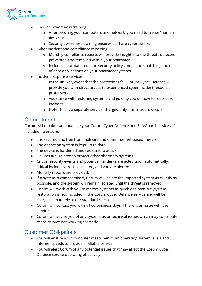

- End-user awareness training
	- o After securing your computers and network, you need to create "human firewalls".
	- o Security awareness training ensures staff are cyber-aware.
- Cyber incident and compliance reporting
	- o Monthly compliance reports will provide insight into the threats detected, prevented and removed within your pharmacy.
	- o Includes information on the security policy compliance, patching and out of date applications on your pharmacy systems.
- Incident response services
	- o In the unlikely event that the protections fail, Corum Cyber Defence will provide you with direct access to experienced cyber incident response professionals.
	- o Assistance with restoring systems and guiding you on how to report the incident.
	- o Note: This is a separate service, charged only if an incident occurs.

### **Commitment**

Corum will monitor and manage your Corum Cyber Defence and SafeGuard services (if included) to ensure:

- It is secured and free from malware and other internet-based threats
- The operating system is kept up to date
- The device is hardened and resistant to attack
- Devices are isolated to protect other pharmacy systems
- Critical security events and potential incidents are acted upon automatically, critical incidents are investigated, and you are alerted.
- Monthly reports are provided.
- If a system is compromised, Corum will isolate the impacted system as quickly as possible, and the system will remain isolated until the threat is removed.
- Corum will work with you to restore systems as quickly as possible (system restoration is not included in the Corum Cyber Defence service and will be charged separately at our standard rates).
- Corum will contact you within two business days if there is an issue with the service.
- Corum will advise you of any systematic or technical issues which may contribute to the service not working correctly.

### Customer Obligations

- You will ensure your computer meets minimum operating system levels and internet speeds to provide a reliable service.
- You will alert Corum of any potential issues that may affect the Corum Cyber Defence service operating effectively.